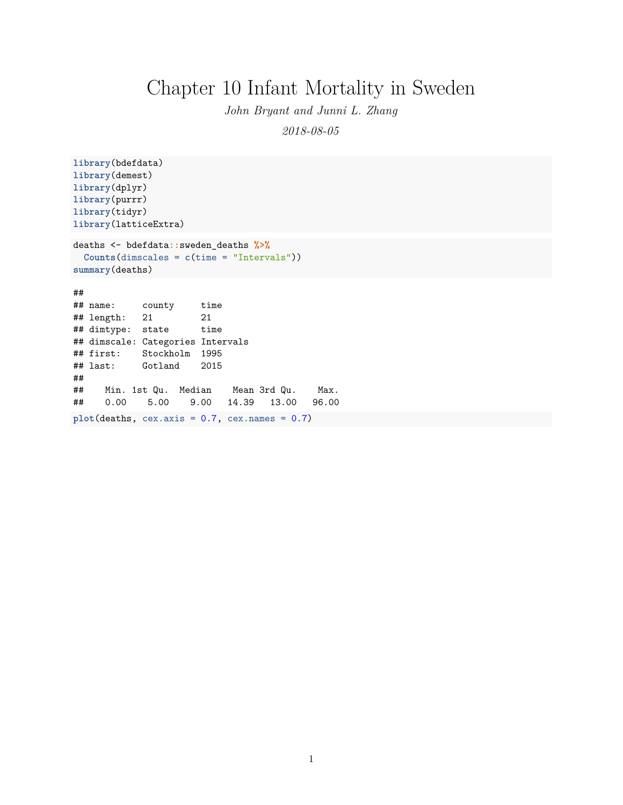## Chapter 10 Infant Mortality in Sweden

*John Bryant and Junni L. Zhang*

*2018-08-05*

```
library(bdefdata)
library(demest)
library(dplyr)
library(purrr)
library(tidyr)
library(latticeExtra)
```

```
deaths <- bdefdata::sweden_deaths %>%
 Counts(dimscales = c(time = "Intervals"))
summary(deaths)
```
## ##

```
## name: county time
## length: 21 21
## dimtype: state time
## dimscale: Categories Intervals
## first: Stockholm 1995
## last: Gotland 2015
##
## Min. 1st Qu. Median Mean 3rd Qu. Max.
## 0.00 5.00 9.00 14.39 13.00 96.00
plot(deaths, cex.axis = 0.7, cex.names = 0.7)
```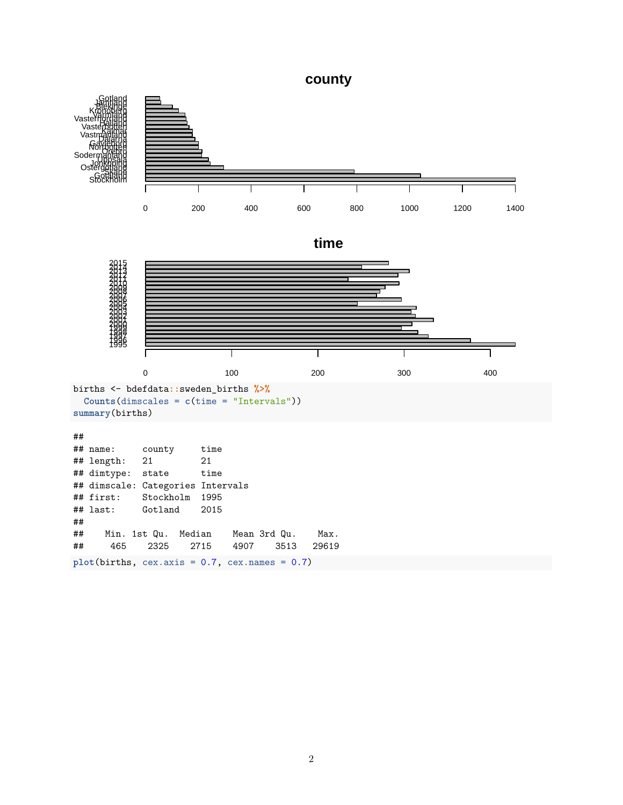**county**

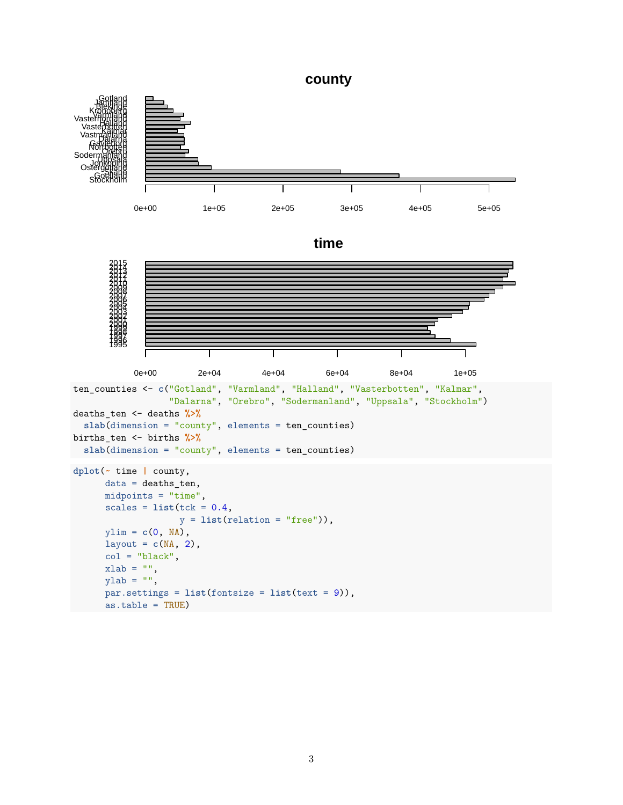**county**

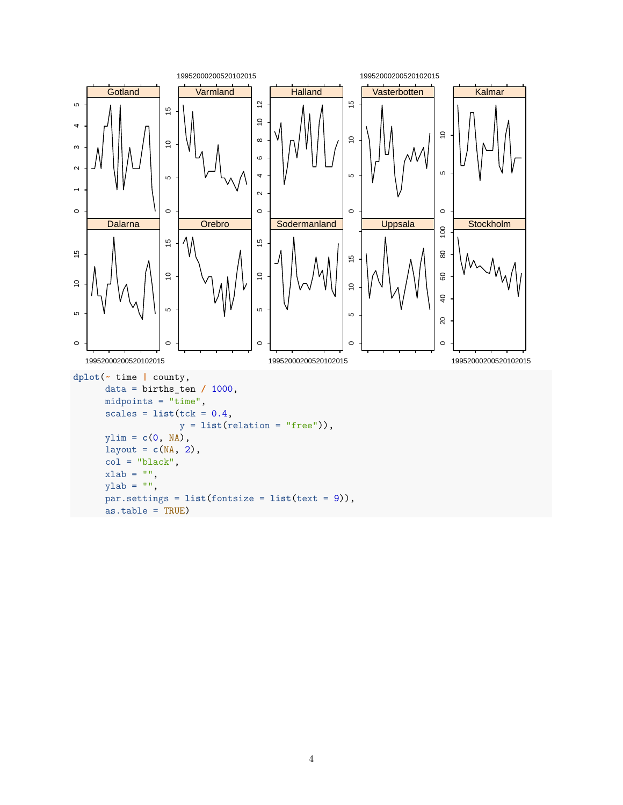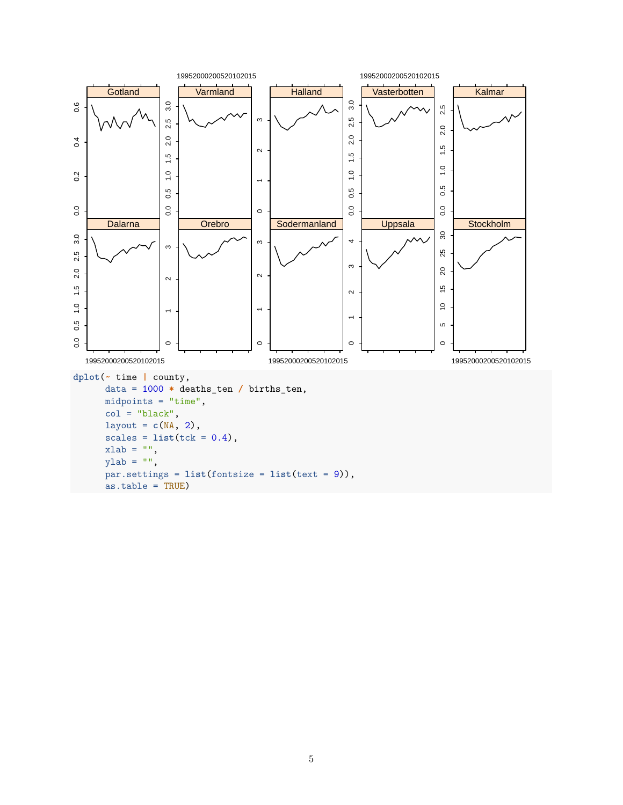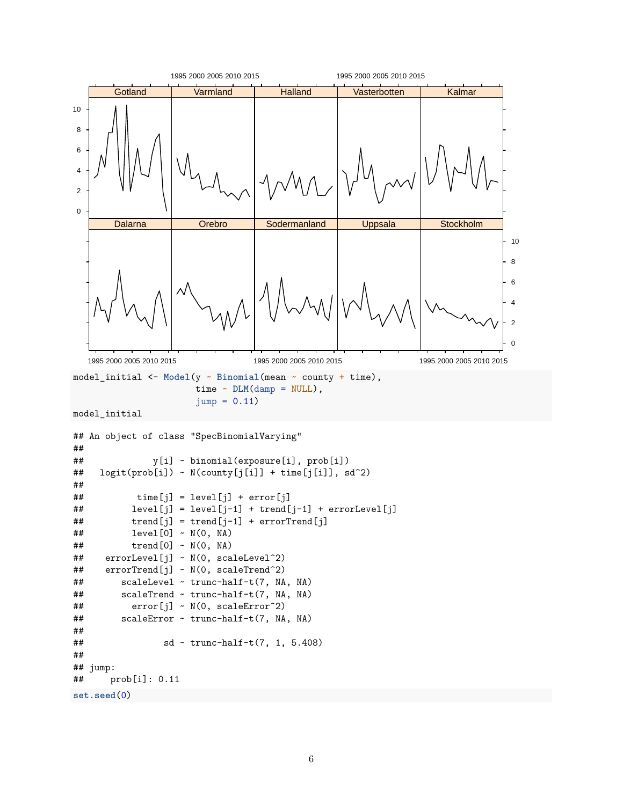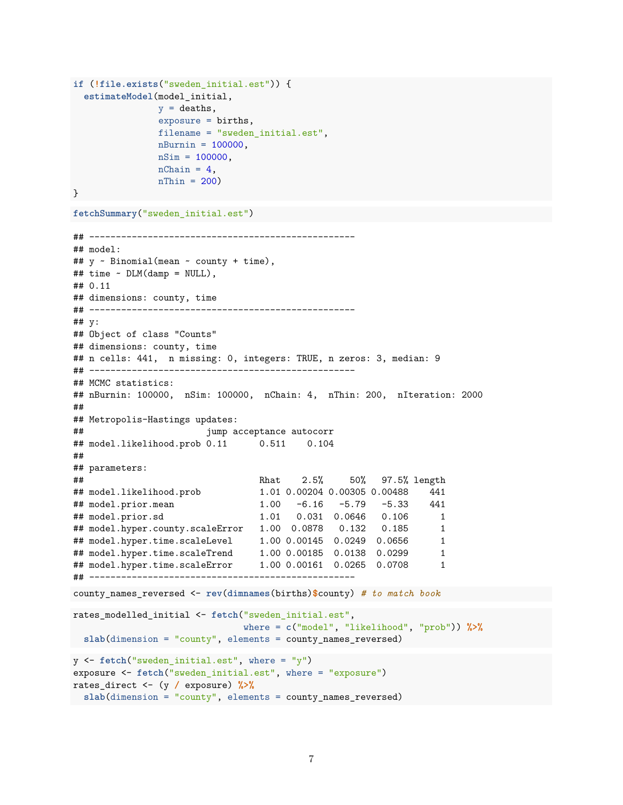```
if (!file.exists("sweden_initial.est")) {
  estimateModel(model_initial,
               y = deaths,
                exposure = births,
               filename = "sweden_initial.est",
               nBurnin = 100000,
               nSim = 100000,nChain = 4,
               nThin = 200
```
}

```
fetchSummary("sweden_initial.est")
```

```
## --------------------------------------------------
## model:
## y ~ Binomial(mean ~ county + time),
## time ~ DLM(damp = NULL),
## 0.11
## dimensions: county, time
## --------------------------------------------------
## y:
## Object of class "Counts"
## dimensions: county, time
## n cells: 441, n missing: 0, integers: TRUE, n zeros: 3, median: 9
## --------------------------------------------------
## MCMC statistics:
## nBurnin: 100000, nSim: 100000, nChain: 4, nThin: 200, nIteration: 2000
##
## Metropolis-Hastings updates:
## jump acceptance autocorr
## model.likelihood.prob 0.11 0.511 0.104
##
## parameters:
## Rhat 2.5% 50% 97.5% length
## model.likelihood.prob 1.01 0.00204 0.00305 0.00488 441
## model.prior.mean 1.00 -6.16 -5.79 -5.33 441
## model.prior.sd 1.01 0.031 0.0646 0.106 1
## model.hyper.county.scaleError 1.00 0.0878 0.132 0.185 1
## model.hyper.time.scaleLevel 1.00 0.00145 0.0249 0.0656 1
## model.hyper.time.scaleTrend 1.00 0.00185 0.0138 0.0299 1
## model.hyper.time.scaleError 1.00 0.00161 0.0265 0.0708 1
## --------------------------------------------------
county_names_reversed <- rev(dimnames(births)$county) # to match book
rates_modelled_initial <- fetch("sweden_initial.est",
                            where = c("model", "likelihood", "prob")) %>%
slab(dimension = "county", elements = county_names_reversed)
y <- fetch("sweden_initial.est", where = "y")
exposure <- fetch("sweden_initial.est", where = "exposure")
rates_direct <- (y / exposure) %>%
```
**slab**(dimension = "county", elements = county\_names\_reversed)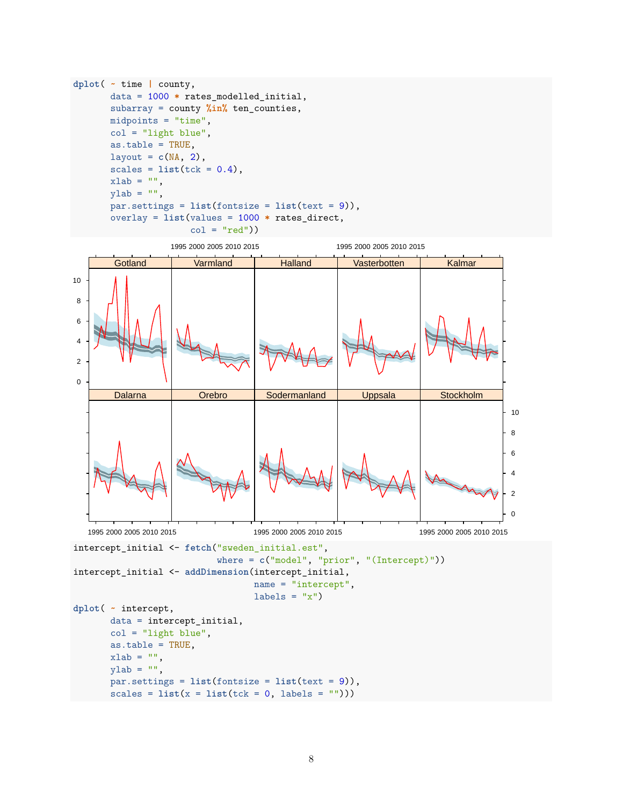```
dplot( ~ time | county,
      data = 1000 * rates_modelled_initial,
      subarray = county %in% ten_counties,
      midpoints = "time",
      col = "light blue",as.table = TRUE,
      layout = c(NA, 2),
      scales = list(tck = 0.4),xlab = "",
      ylab = "",
      par.settings = list(fontsize = list(text = 9)),
      overlay = list(values = 1000 * rates_direct,
                      col = "red")
```
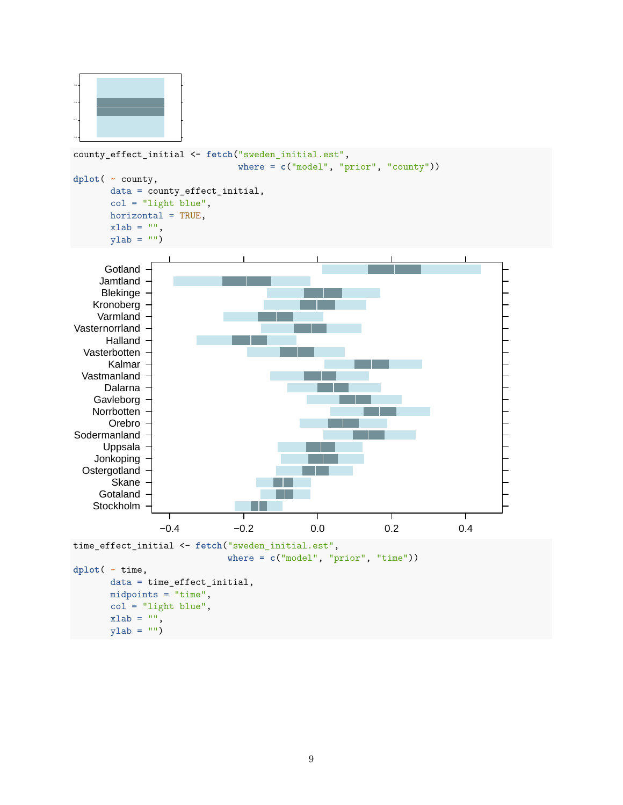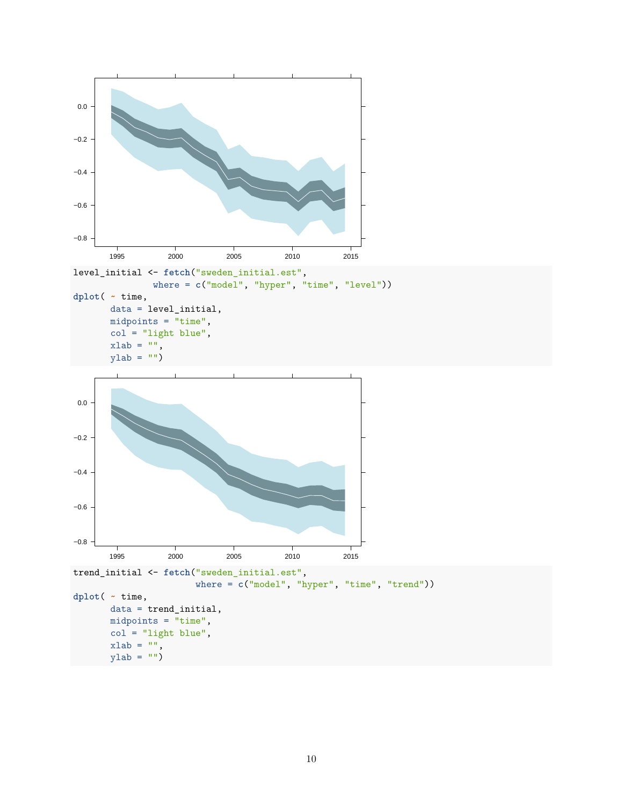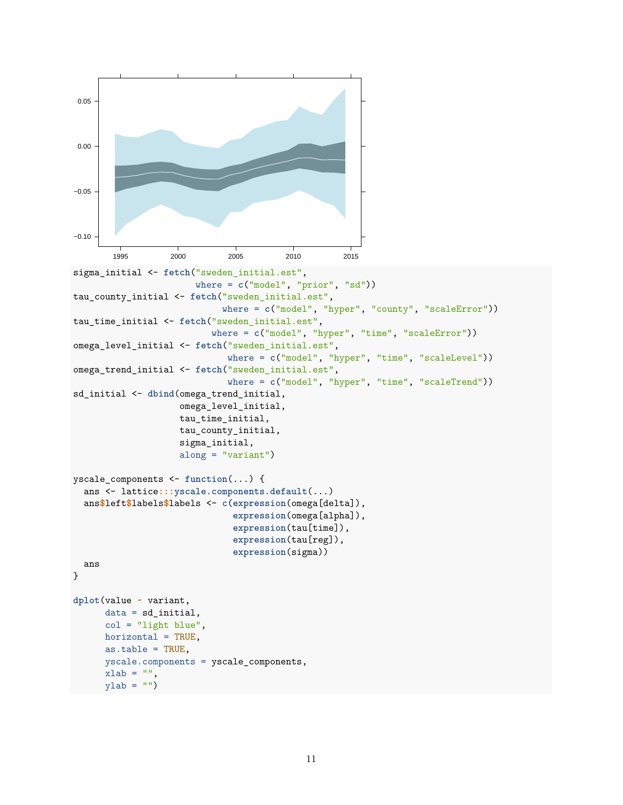```
−0.10
−0.05
0.00
0.05
       1995 2000 2005 2010 2015
sigma_initial <- fetch("sweden_initial.est",
                       where = c("model", "prior", "sd"))
tau_county_initial <- fetch("sweden_initial.est",
                            where = c("model", "hyper", "county", "scaleError"))
tau_time_initial <- fetch("sweden_initial.est",
                          where = c("model", "hyper", "time", "scaleError"))
omega_level_initial <- fetch("sweden_initial.est",
                             where = c("model", "hyper", "time", "scaleLevel"))
omega_trend_initial <- fetch("sweden_initial.est",
                             where = c("model", "hyper", "time", "scaleTrend"))
sd_initial <- dbind(omega_trend_initial,
                    omega_level_initial,
                    tau_time_initial,
                    tau_county_initial,
                    sigma_initial,
                    along = "variant")
yscale_components <- function(...) {
  ans <- lattice:::yscale.components.default(...)
  ans$left$labels$labels <- c(expression(omega[delta]),
                              expression(omega[alpha]),
                              expression(tau[time]),
                              expression(tau[reg]),
                              expression(sigma))
  ans
}
dplot(value ~ variant,
      data = sd_initial,
      col = "light blue",horizontal = TRUE,
      as.table = TRUE,
      yscale.components = yscale_components,
      xlab = "",
      ylab = "")
```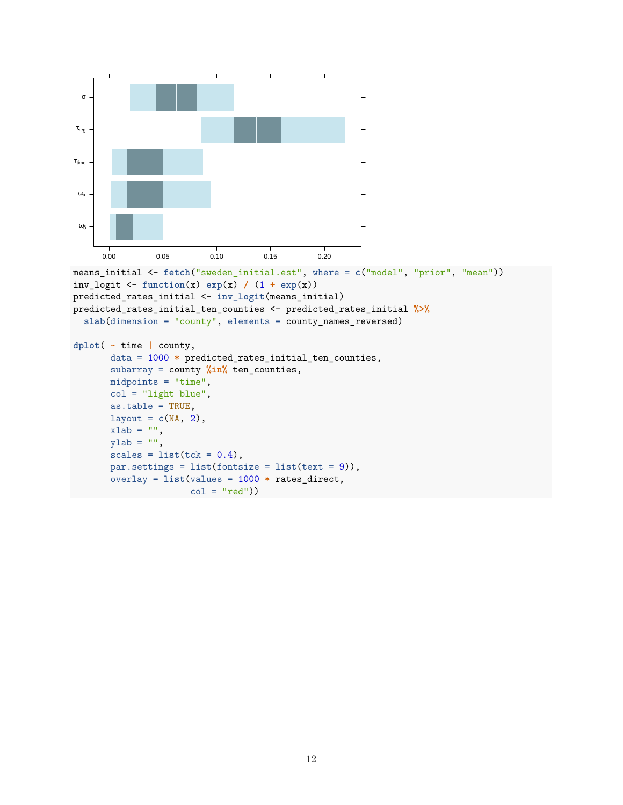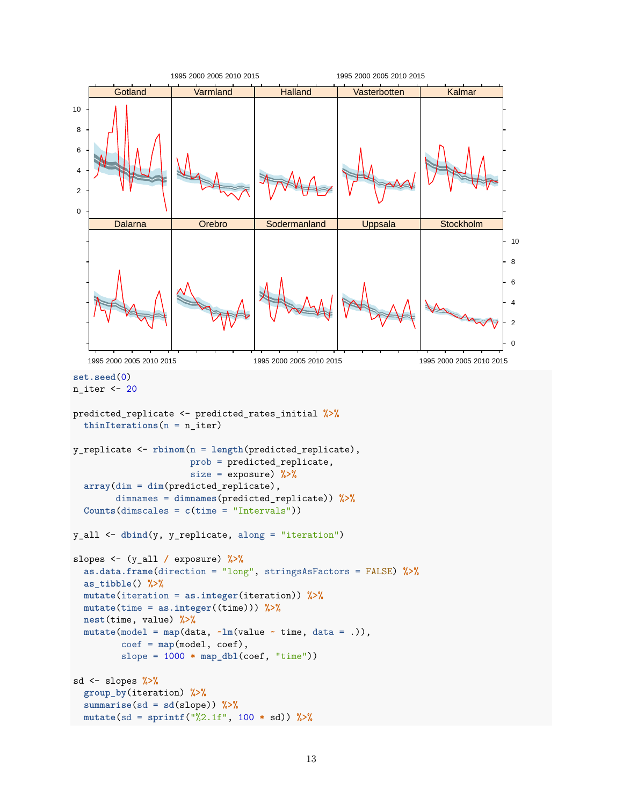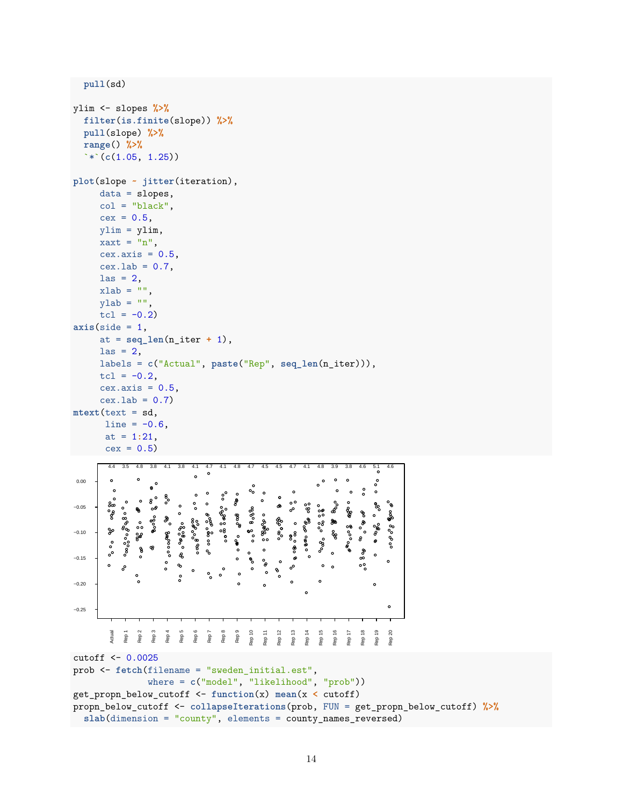**pull**(sd)

```
ylim <- slopes %>%
   filter(is.finite(slope)) %>%
   pull(slope) %>%
   range() %>%
   `*`(c(1.05, 1.25))
plot(slope ~ jitter(iteration),
       data = slopes,
        col = "black",cex = 0.5,
       ylim = ylim,xaxt = "n",
       cex.axis = 0.5,
       cex.1ab = 0.7,
       \text{las} = 2,
       xlab = ""
       ylab = "",
       tcl = -0.2axis(side = 1,at = seq_len(n_iter + 1),
       \text{las} = 2,
       labels = c("Actual", paste("Rep", seq_len(n_iter))),
       tcl = -0.2,
        cex.axis = 0.5,
        cex.1ab = 0.7mtext(text = sd,
         line = -0.6,
         at = 1:21,
         cex = 0.54.4 3.5 4.8 3.8 4.1 3.8 4.1 4.7 4.1 4.8 4.7 4.5 4.5 4.7 4.1 4.8 3.9 3.8 4.6 5.1 4.6
                                   \circ0.00
          ၜႝၜ
−0.05
                                                                     စ္စီ
                                                                \circೢೢೢೲ
              ৽ೲೞೢೲಀೄೢೲ
                                           ಿ ಇಲ್ಲಿ ಇಲ್ಲಿ
                                                    ೪%೪
          ್ಯಿ
                                               န္မွာ ထွ
                                                       ွ အွန္တစ္ေ၀
                                       ၜၜၜၟၟၜၟၜ
                                                            ೄೊಂ
                       ೄೊ
                                   ွတ်<sub>ဝ</sub>ွစ်တိ
                  \overset{\circ}{\circ}<sup>တ</sup>ိမိွစို့လ
                                                                                         ೄိ
                                                                                             8<sub>0</sub>900
                                                   \circ\,^{\circ}go
−0.10
                           ွစ္ေ၀၀၀၀
                                                                8<sup>8</sup>န္
                  မို့
                                                                                    8
          \circ\ddot{\textbf{e}}ê
                                                \frac{1}{\alpha}ೢ
          \circዔ
                                                                                     နိစိ
−0.15
                                                \ddot{\phantom{0}}\delta\circ\bullet\circ°
                                                                °°
                                   \circ००
                                                 \ddot{\phantom{0}}\circ\tilde{\circ}−0.20
                                                                                         \circ\circ−0.25
                  Rep 2
                      Rep 3
                                   Rep 6
                                       Rep 7
                                                    Rep 10
                                                            Rep 12
                                                                Rep 13
                                                                         Rep 15
                                                                                             Rep 20
           Actual
              Rep 1
                           Rep 4
                               Rep 5
                                           Rep 8
                                                Rep 9
                                                        Rep 11
                                                                    Rep 14
                                                                             Rep 16
                                                                                 Rep 17
                                                                                     Rep 18
                                                                                         Rep 19
cutoff <- 0.0025
prob <- fetch(filename = "sweden_initial.est",
                      where = c("model", "likelihood", "prob"))
get_propn_below_cutoff <- function(x) mean(x < cutoff)
propn_below_cutoff <- collapseIterations(prob, FUN = get_propn_below_cutoff) %>%
```

```
slab(dimension = "county", elements = county_names_reversed)
```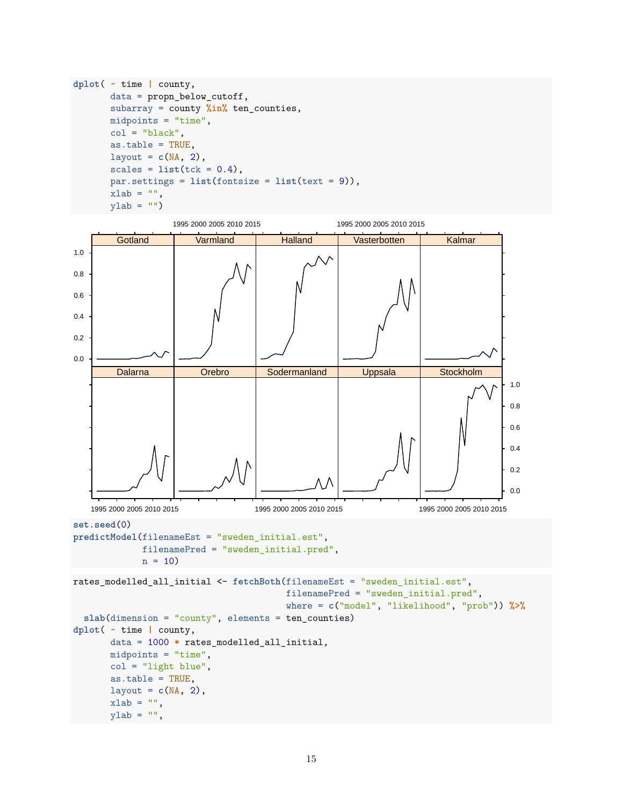```
dplot( ~ time | county,
       data = propn_below_cutoff,
       subarray = county %in% ten_counties,
       midpoints = "time",
       col = "black",as.table = TRUE,
       layout = c(NA, 2),
       scales = list(tck = 0.4),par.settings = list(fontsize = list(text = 9)),
       xlab = "",
       ylab = "")
```
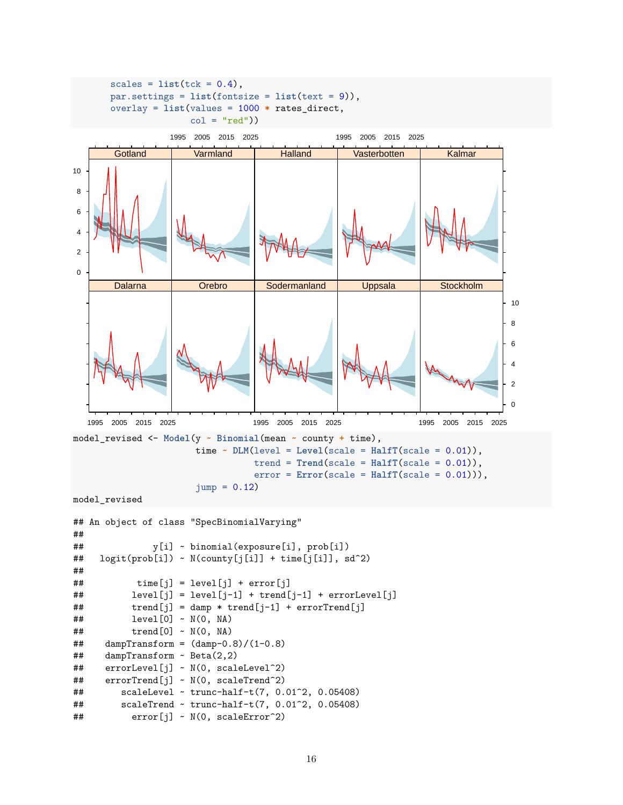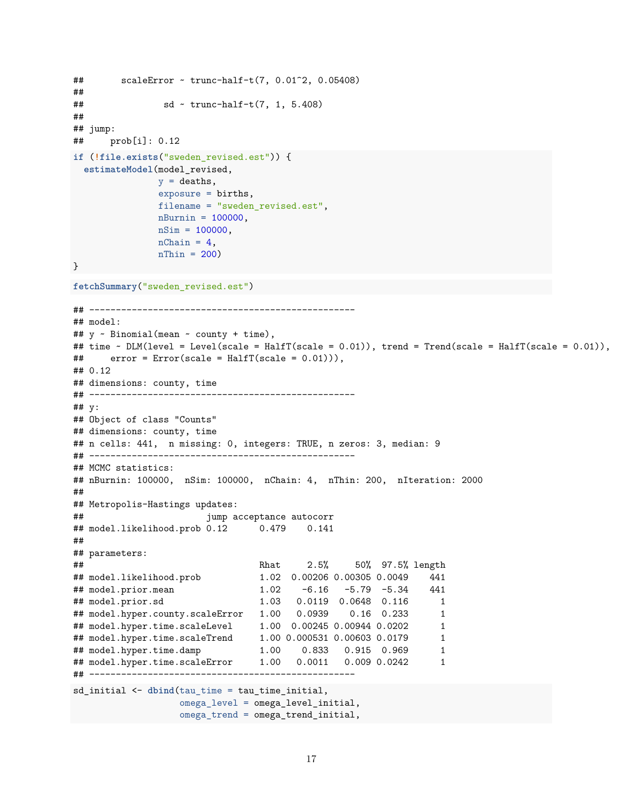```
## scaleError ~ trunc-half-t(7, 0.01^2, 0.05408)
##
\# \# sd \sim trunc-half-t(7, 1, 5.408)
##
## jump:
## prob[i]: 0.12
if (!file.exists("sweden_revised.est")) {
 estimateModel(model_revised,
              y = deaths,
              exposure = births,
              filename = "sweden_revised.est",
              nBurnin = 100000,
              nSim = 100000,nChain = 4,
              nThin = 200}
fetchSummary("sweden_revised.est")
## --------------------------------------------------
## model:
## y ~ Binomial(mean ~ county + time),
## time ~ DLM(level = Level(scale = HalfT(scale = 0.01)), trend = Trend(scale = HalfT(scale = 0.01)),
\# error = Error(scale = HalfT(scale = 0.01))),
## 0.12
## dimensions: county, time
## --------------------------------------------------
## y:
## Object of class "Counts"
## dimensions: county, time
## n cells: 441, n missing: 0, integers: TRUE, n zeros: 3, median: 9
## --------------------------------------------------
## MCMC statistics:
## nBurnin: 100000, nSim: 100000, nChain: 4, nThin: 200, nIteration: 2000
##
## Metropolis-Hastings updates:
## jump acceptance autocorr
## model.likelihood.prob 0.12 0.479 0.141
##
## parameters:
## Rhat 2.5% 50% 97.5% length
## model.likelihood.prob 1.02 0.00206 0.00305 0.0049 441
## model.prior.mean 1.02 -6.16 -5.79 -5.34 441
## model.prior.sd 1.03 0.0119 0.0648 0.116 1
## model.hyper.county.scaleError 1.00 0.0939 0.16 0.233 1
## model.hyper.time.scaleLevel 1.00 0.00245 0.00944 0.0202 1
## model.hyper.time.scaleTrend 1.00 0.000531 0.00603 0.0179 1
## model.hyper.time.damp 1.00 0.833 0.915 0.969 1
## model.hyper.time.scaleError 1.00 0.0011 0.009 0.0242 1
## --------------------------------------------------
sd_initial <- dbind(tau_time = tau_time_initial,
                 omega_level = omega_level_initial,
                 omega_trend = omega_trend_initial,
```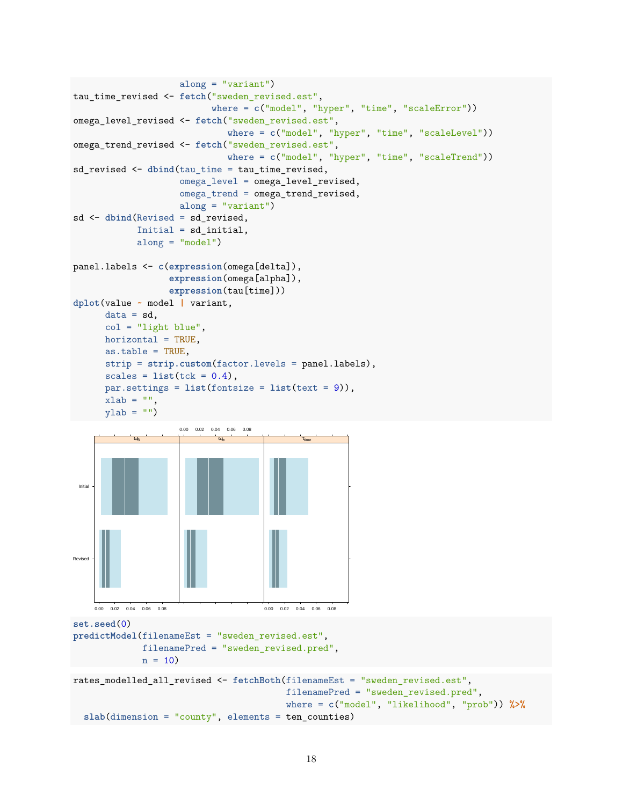```
along = "variant")
tau_time_revised <- fetch("sweden_revised.est",
                           where = c("model", "hyper", "time", "scaleError"))
omega_level_revised <- fetch("sweden_revised.est",
                              where = c("model", "hyper", "time", "scaleLevel"))
omega_trend_revised <- fetch("sweden_revised.est",
                              where = c("model", "hyper", "time", "scaleTrend"))
sd revised <- dbind(tau time = tau time revised,
                     omega_level = omega_level_revised,
                     omega_trend = omega_trend_revised,
                     along = "variant")
sd <- dbind(Revised = sd_revised,
             Initial = sd_initial,
             along = "model")panel.labels <- c(expression(omega[delta]),
                   expression(omega[alpha]),
                   expression(tau[time]))
dplot(value ~ model | variant,
      data = sd,
      col = "light blue",
      horizontal = TRUE,
      as.table = TRUE,
      strip = strip.custom(factor.levels = panel.labels),
      scales = list(tck = 0.4),par.settings = list(fontsize = list(text = 9)),
      xlab = "",
      ylab = "")
 Initial
            ωδ
                     0.00 0.02 0.04 0.06 0.08
                            \frac{1}{\omega_{\alpha}}τtime
```

```
set.seed(0)
predictModel(filenameEst = "sweden_revised.est",
             filenamePred = "sweden_revised.pred",
             n = 10rates_modelled_all_revised <- fetchBoth(filenameEst = "sweden_revised.est",
                                        filenamePred = "sweden_revised.pred",
                                        where = c("model", "likelihood", "prob")) %>%
  slab(dimension = "county", elements = ten_counties)
```
0.00 0.02 0.04 0.06 0.08

Revised

0.00 0.02 0.04 0.06 0.08